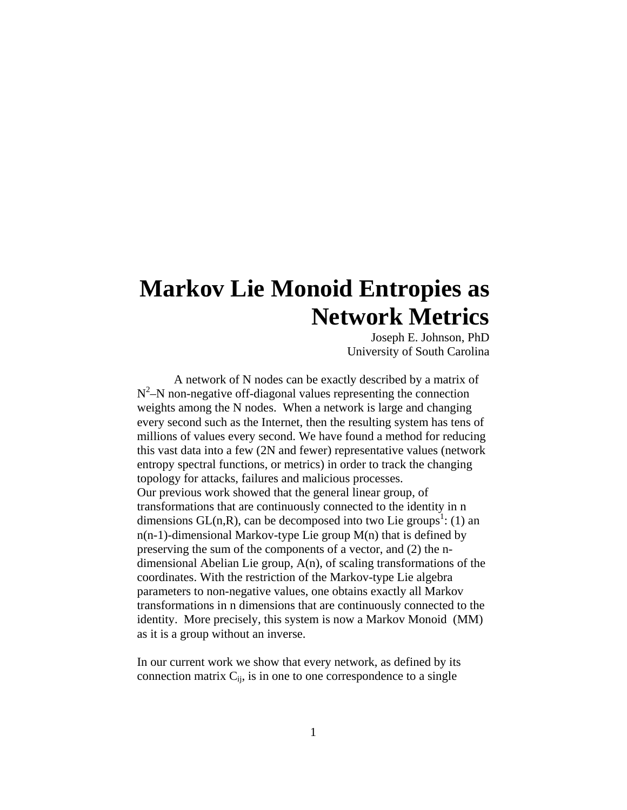# **Markov Lie Monoid Entropies as Network Metrics**

Joseph E. Johnson, PhD University of South Carolina

 A network of N nodes can be exactly described by a matrix of  $N<sup>2</sup>$ –N non-negative off-diagonal values representing the connection weights among the N nodes. When a network is large and changing every second such as the Internet, then the resulting system has tens of millions of values every second. We have found a method for reducing this vast data into a few (2N and fewer) representative values (network entropy spectral functions, or metrics) in order to track the changing topology for attacks, failures and malicious processes. Our previous work showed that the general linear group, of transformations that are continuously connected to the identity in n dimensions  $GL(n,R)$ , can be decomposed into two Lie groups<sup>1</sup>: (1) an  $n(n-1)$ -dimensional Markov-type Lie group  $M(n)$  that is defined by preserving the sum of the components of a vector, and (2) the ndimensional Abelian Lie group, A(n), of scaling transformations of the coordinates. With the restriction of the Markov-type Lie algebra parameters to non-negative values, one obtains exactly all Markov transformations in n dimensions that are continuously connected to the identity. More precisely, this system is now a Markov Monoid (MM) as it is a group without an inverse.

In our current work we show that every network, as defined by its connection matrix  $C_{ij}$ , is in one to one correspondence to a single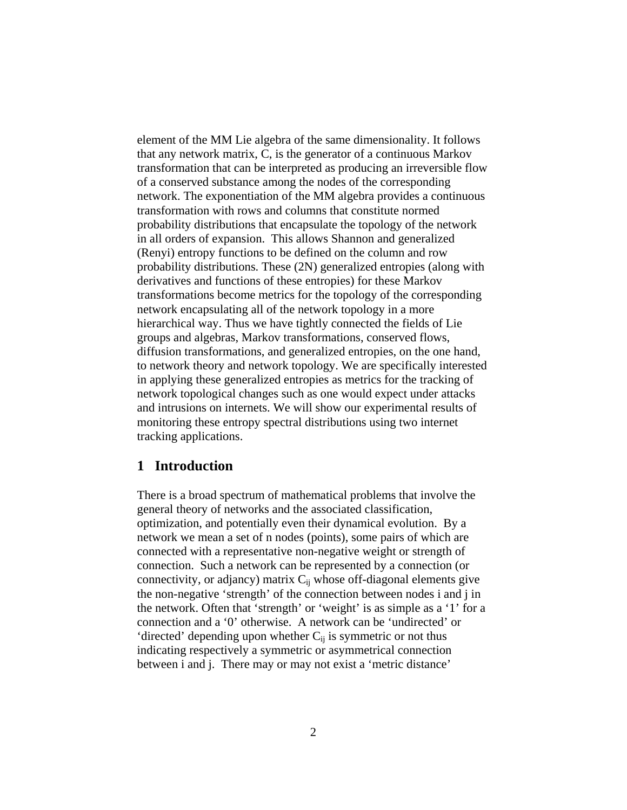element of the MM Lie algebra of the same dimensionality. It follows that any network matrix, C, is the generator of a continuous Markov transformation that can be interpreted as producing an irreversible flow of a conserved substance among the nodes of the corresponding network. The exponentiation of the MM algebra provides a continuous transformation with rows and columns that constitute normed probability distributions that encapsulate the topology of the network in all orders of expansion. This allows Shannon and generalized (Renyi) entropy functions to be defined on the column and row probability distributions. These (2N) generalized entropies (along with derivatives and functions of these entropies) for these Markov transformations become metrics for the topology of the corresponding network encapsulating all of the network topology in a more hierarchical way. Thus we have tightly connected the fields of Lie groups and algebras, Markov transformations, conserved flows, diffusion transformations, and generalized entropies, on the one hand, to network theory and network topology. We are specifically interested in applying these generalized entropies as metrics for the tracking of network topological changes such as one would expect under attacks and intrusions on internets. We will show our experimental results of monitoring these entropy spectral distributions using two internet tracking applications.

# **1 Introduction**

There is a broad spectrum of mathematical problems that involve the general theory of networks and the associated classification, optimization, and potentially even their dynamical evolution. By a network we mean a set of n nodes (points), some pairs of which are connected with a representative non-negative weight or strength of connection. Such a network can be represented by a connection (or connectivity, or adjancy) matrix  $C_{ii}$  whose off-diagonal elements give the non-negative 'strength' of the connection between nodes i and j in the network. Often that 'strength' or 'weight' is as simple as a '1' for a connection and a '0' otherwise. A network can be 'undirected' or 'directed' depending upon whether  $C_{ii}$  is symmetric or not thus indicating respectively a symmetric or asymmetrical connection between i and j. There may or may not exist a 'metric distance'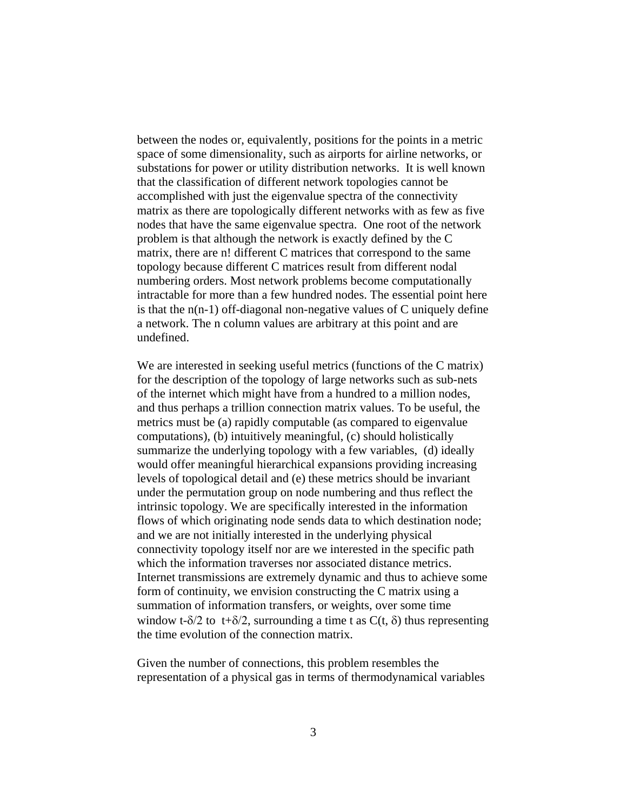between the nodes or, equivalently, positions for the points in a metric space of some dimensionality, such as airports for airline networks, or substations for power or utility distribution networks. It is well known that the classification of different network topologies cannot be accomplished with just the eigenvalue spectra of the connectivity matrix as there are topologically different networks with as few as five nodes that have the same eigenvalue spectra. One root of the network problem is that although the network is exactly defined by the C matrix, there are n! different C matrices that correspond to the same topology because different C matrices result from different nodal numbering orders. Most network problems become computationally intractable for more than a few hundred nodes. The essential point here is that the n(n-1) off-diagonal non-negative values of C uniquely define a network. The n column values are arbitrary at this point and are undefined.

We are interested in seeking useful metrics (functions of the C matrix) for the description of the topology of large networks such as sub-nets of the internet which might have from a hundred to a million nodes, and thus perhaps a trillion connection matrix values. To be useful, the metrics must be (a) rapidly computable (as compared to eigenvalue computations), (b) intuitively meaningful, (c) should holistically summarize the underlying topology with a few variables, (d) ideally would offer meaningful hierarchical expansions providing increasing levels of topological detail and (e) these metrics should be invariant under the permutation group on node numbering and thus reflect the intrinsic topology. We are specifically interested in the information flows of which originating node sends data to which destination node; and we are not initially interested in the underlying physical connectivity topology itself nor are we interested in the specific path which the information traverses nor associated distance metrics. Internet transmissions are extremely dynamic and thus to achieve some form of continuity, we envision constructing the C matrix using a summation of information transfers, or weights, over some time window t- $\delta/2$  to t+ $\delta/2$ , surrounding a time t as C(t,  $\delta$ ) thus representing the time evolution of the connection matrix.

Given the number of connections, this problem resembles the representation of a physical gas in terms of thermodynamical variables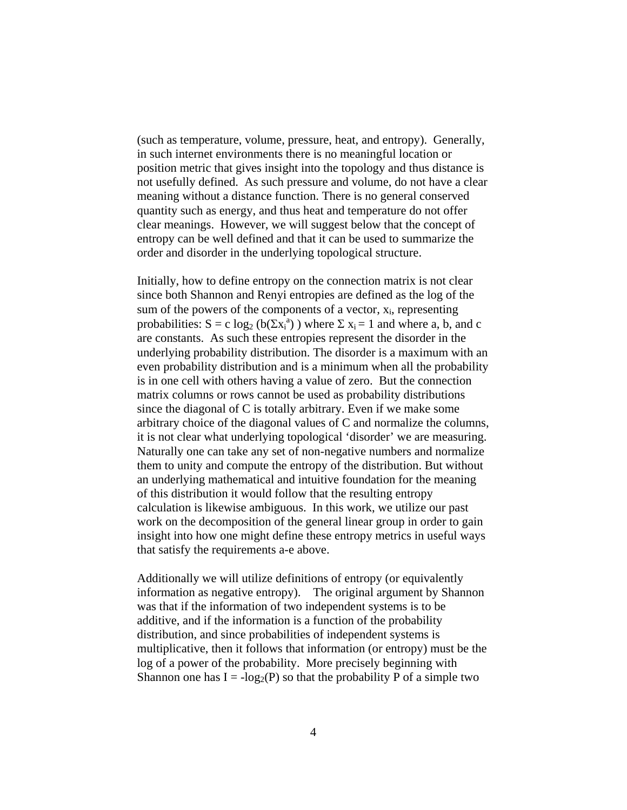(such as temperature, volume, pressure, heat, and entropy). Generally, in such internet environments there is no meaningful location or position metric that gives insight into the topology and thus distance is not usefully defined. As such pressure and volume, do not have a clear meaning without a distance function. There is no general conserved quantity such as energy, and thus heat and temperature do not offer clear meanings. However, we will suggest below that the concept of entropy can be well defined and that it can be used to summarize the order and disorder in the underlying topological structure.

Initially, how to define entropy on the connection matrix is not clear since both Shannon and Renyi entropies are defined as the log of the sum of the powers of the components of a vector,  $x_i$ , representing probabilities:  $S = c \log_2 (b(\Sigma x_i^a))$  where  $\Sigma x_i = 1$  and where a, b, and c are constants. As such these entropies represent the disorder in the underlying probability distribution. The disorder is a maximum with an even probability distribution and is a minimum when all the probability is in one cell with others having a value of zero. But the connection matrix columns or rows cannot be used as probability distributions since the diagonal of C is totally arbitrary. Even if we make some arbitrary choice of the diagonal values of C and normalize the columns, it is not clear what underlying topological 'disorder' we are measuring. Naturally one can take any set of non-negative numbers and normalize them to unity and compute the entropy of the distribution. But without an underlying mathematical and intuitive foundation for the meaning of this distribution it would follow that the resulting entropy calculation is likewise ambiguous. In this work, we utilize our past work on the decomposition of the general linear group in order to gain insight into how one might define these entropy metrics in useful ways that satisfy the requirements a-e above.

Additionally we will utilize definitions of entropy (or equivalently information as negative entropy). The original argument by Shannon was that if the information of two independent systems is to be additive, and if the information is a function of the probability distribution, and since probabilities of independent systems is multiplicative, then it follows that information (or entropy) must be the log of a power of the probability. More precisely beginning with Shannon one has  $I = -\log_2(P)$  so that the probability P of a simple two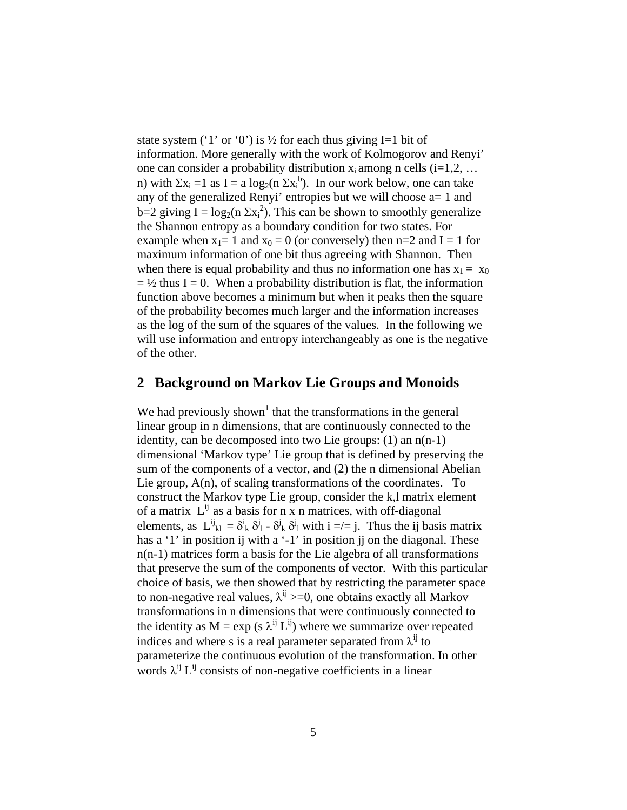state system ('1' or '0') is  $\frac{1}{2}$  for each thus giving I=1 bit of information. More generally with the work of Kolmogorov and Renyi' one can consider a probability distribution  $x_i$  among n cells (i=1,2, ... n) with  $\Sigma x_i = 1$  as  $I = a \log_2(n \Sigma x_i^b)$ . In our work below, one can take any of the generalized Renyi' entropies but we will choose  $a=1$  and b=2 giving  $I = log_2(n \Sigma x_i^2)$ . This can be shown to smoothly generalize the Shannon entropy as a boundary condition for two states. For example when  $x_1 = 1$  and  $x_0 = 0$  (or conversely) then n=2 and I = 1 for maximum information of one bit thus agreeing with Shannon. Then when there is equal probability and thus no information one has  $x_1 = x_0$  $=$  1/2 thus I = 0. When a probability distribution is flat, the information function above becomes a minimum but when it peaks then the square of the probability becomes much larger and the information increases as the log of the sum of the squares of the values. In the following we will use information and entropy interchangeably as one is the negative of the other.

## **2 Background on Markov Lie Groups and Monoids**

We had previously shown<sup>1</sup> that the transformations in the general linear group in n dimensions, that are continuously connected to the identity, can be decomposed into two Lie groups: (1) an n(n-1) dimensional 'Markov type' Lie group that is defined by preserving the sum of the components of a vector, and (2) the n dimensional Abelian Lie group, A(n), of scaling transformations of the coordinates. To construct the Markov type Lie group, consider the k,l matrix element of a matrix  $L^{ij}$  as a basis for n x n matrices, with off-diagonal elements, as  $L^{ij}_{kl} = \delta^i_k \delta^j_l - \delta^j_k \delta^j_l$  with  $i =/= j$ . Thus the ij basis matrix has a '1' in position ij with a '-1' in position ji on the diagonal. These n(n-1) matrices form a basis for the Lie algebra of all transformations that preserve the sum of the components of vector. With this particular choice of basis, we then showed that by restricting the parameter space to non-negative real values,  $\lambda^{ij}$  >=0, one obtains exactly all Markov transformations in n dimensions that were continuously connected to the identity as  $M = \exp(s \lambda^{ij} L^{ij})$  where we summarize over repeated indices and where s is a real parameter separated from  $\lambda^{ij}$  to parameterize the continuous evolution of the transformation. In other words  $\lambda^{ij} L^{ij}$  consists of non-negative coefficients in a linear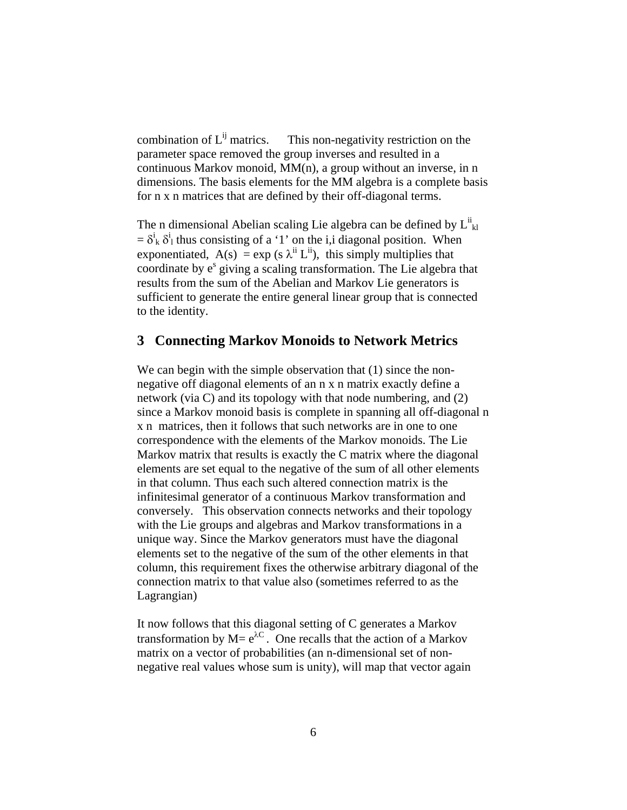combination of  $L^{ij}$  matrics. This non-negativity restriction on the parameter space removed the group inverses and resulted in a continuous Markov monoid, MM(n), a group without an inverse, in n dimensions. The basis elements for the MM algebra is a complete basis for n x n matrices that are defined by their off-diagonal terms.

The n dimensional Abelian scaling Lie algebra can be defined by  $L^{ii}_{kl}$  $= \delta_k^i \delta_l^i$  thus consisting of a '1' on the i,i diagonal position. When exponentiated,  $A(s) = exp (s \lambda^{ii} L^{ii})$ , this simply multiplies that coordinate by e<sup>s</sup> giving a scaling transformation. The Lie algebra that results from the sum of the Abelian and Markov Lie generators is sufficient to generate the entire general linear group that is connected to the identity.

#### **3 Connecting Markov Monoids to Network Metrics**

We can begin with the simple observation that (1) since the nonnegative off diagonal elements of an n x n matrix exactly define a network (via C) and its topology with that node numbering, and (2) since a Markov monoid basis is complete in spanning all off-diagonal n x n matrices, then it follows that such networks are in one to one correspondence with the elements of the Markov monoids. The Lie Markov matrix that results is exactly the C matrix where the diagonal elements are set equal to the negative of the sum of all other elements in that column. Thus each such altered connection matrix is the infinitesimal generator of a continuous Markov transformation and conversely. This observation connects networks and their topology with the Lie groups and algebras and Markov transformations in a unique way. Since the Markov generators must have the diagonal elements set to the negative of the sum of the other elements in that column, this requirement fixes the otherwise arbitrary diagonal of the connection matrix to that value also (sometimes referred to as the Lagrangian)

It now follows that this diagonal setting of C generates a Markov transformation by  $M = e^{\lambda C}$ . One recalls that the action of a Markov matrix on a vector of probabilities (an n-dimensional set of nonnegative real values whose sum is unity), will map that vector again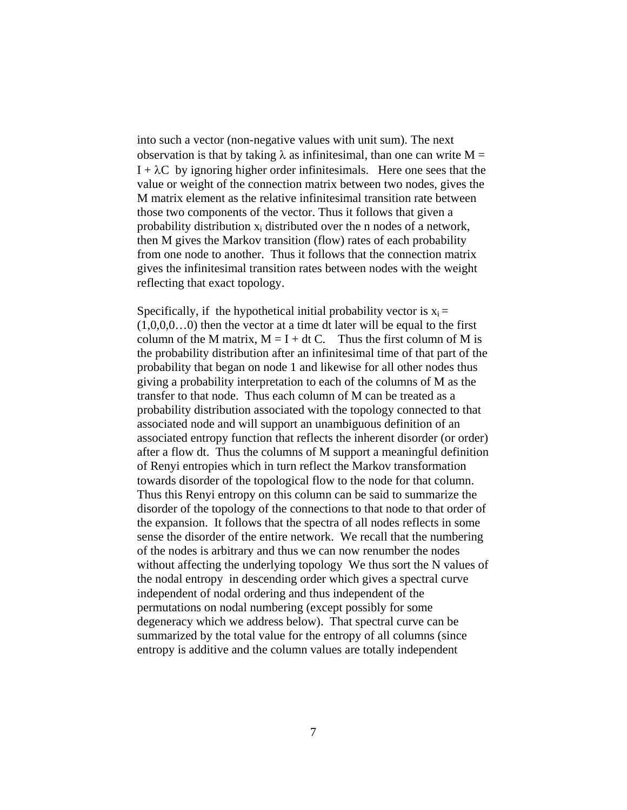into such a vector (non-negative values with unit sum). The next observation is that by taking  $\lambda$  as infinitesimal, than one can write M =  $I + \lambda C$  by ignoring higher order infinitesimals. Here one sees that the value or weight of the connection matrix between two nodes, gives the M matrix element as the relative infinitesimal transition rate between those two components of the vector. Thus it follows that given a probability distribution  $x_i$  distributed over the n nodes of a network, then M gives the Markov transition (flow) rates of each probability from one node to another. Thus it follows that the connection matrix gives the infinitesimal transition rates between nodes with the weight reflecting that exact topology.

Specifically, if the hypothetical initial probability vector is  $x_i =$  $(1,0,0,0...0)$  then the vector at a time dt later will be equal to the first column of the M matrix,  $M = I + dt C$ . Thus the first column of M is the probability distribution after an infinitesimal time of that part of the probability that began on node 1 and likewise for all other nodes thus giving a probability interpretation to each of the columns of M as the transfer to that node. Thus each column of M can be treated as a probability distribution associated with the topology connected to that associated node and will support an unambiguous definition of an associated entropy function that reflects the inherent disorder (or order) after a flow dt. Thus the columns of M support a meaningful definition of Renyi entropies which in turn reflect the Markov transformation towards disorder of the topological flow to the node for that column. Thus this Renyi entropy on this column can be said to summarize the disorder of the topology of the connections to that node to that order of the expansion. It follows that the spectra of all nodes reflects in some sense the disorder of the entire network. We recall that the numbering of the nodes is arbitrary and thus we can now renumber the nodes without affecting the underlying topology We thus sort the N values of the nodal entropy in descending order which gives a spectral curve independent of nodal ordering and thus independent of the permutations on nodal numbering (except possibly for some degeneracy which we address below). That spectral curve can be summarized by the total value for the entropy of all columns (since entropy is additive and the column values are totally independent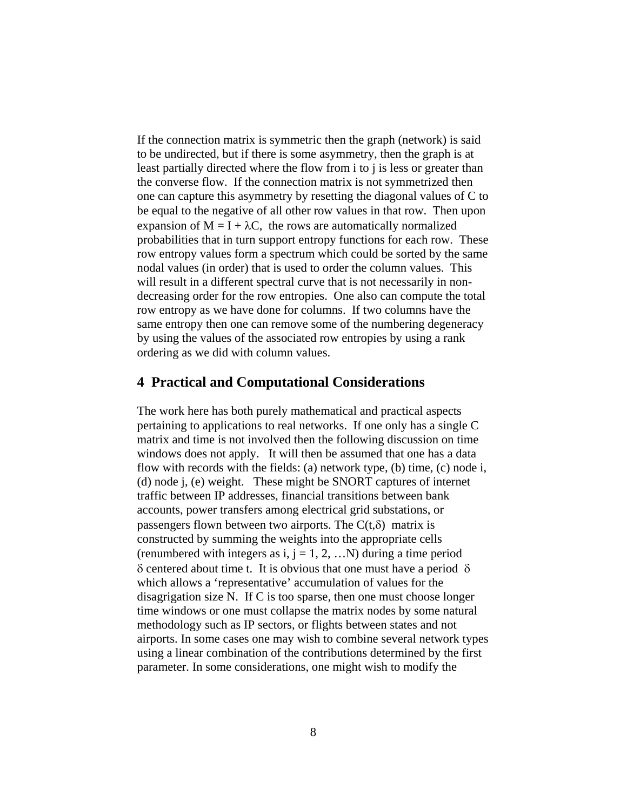If the connection matrix is symmetric then the graph (network) is said to be undirected, but if there is some asymmetry, then the graph is at least partially directed where the flow from i to j is less or greater than the converse flow. If the connection matrix is not symmetrized then one can capture this asymmetry by resetting the diagonal values of C to be equal to the negative of all other row values in that row. Then upon expansion of  $M = I + \lambda C$ , the rows are automatically normalized probabilities that in turn support entropy functions for each row. These row entropy values form a spectrum which could be sorted by the same nodal values (in order) that is used to order the column values. This will result in a different spectral curve that is not necessarily in nondecreasing order for the row entropies. One also can compute the total row entropy as we have done for columns. If two columns have the same entropy then one can remove some of the numbering degeneracy by using the values of the associated row entropies by using a rank ordering as we did with column values.

#### **4 Practical and Computational Considerations**

The work here has both purely mathematical and practical aspects pertaining to applications to real networks. If one only has a single C matrix and time is not involved then the following discussion on time windows does not apply. It will then be assumed that one has a data flow with records with the fields: (a) network type, (b) time, (c) node i, (d) node j, (e) weight. These might be SNORT captures of internet traffic between IP addresses, financial transitions between bank accounts, power transfers among electrical grid substations, or passengers flown between two airports. The  $C(t,\delta)$  matrix is constructed by summing the weights into the appropriate cells (renumbered with integers as i,  $j = 1, 2, ...N$ ) during a time period δ centered about time t. It is obvious that one must have a period δ which allows a 'representative' accumulation of values for the disagrigation size N. If C is too sparse, then one must choose longer time windows or one must collapse the matrix nodes by some natural methodology such as IP sectors, or flights between states and not airports. In some cases one may wish to combine several network types using a linear combination of the contributions determined by the first parameter. In some considerations, one might wish to modify the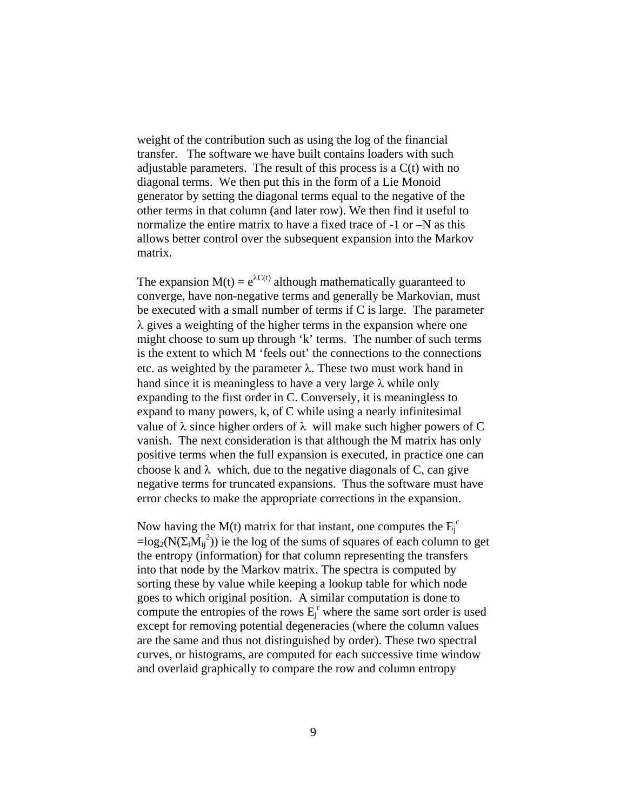weight of the contribution such as using the log of the financial transfer. The software we have built contains loaders with such adjustable parameters. The result of this process is a C(t) with no diagonal terms. We then put this in the form of a Lie Monoid generator by setting the diagonal terms equal to the negative of the other terms in that column (and later row). We then find it useful to normalize the entire matrix to have a fixed trace of -1 or –N as this allows better control over the subsequent expansion into the Markov matrix.

The expansion  $M(t) = e^{\lambda C(t)}$  although mathematically guaranteed to converge, have non-negative terms and generally be Markovian, must be executed with a small number of terms if C is large. The parameter  $\lambda$  gives a weighting of the higher terms in the expansion where one might choose to sum up through 'k' terms. The number of such terms is the extent to which M 'feels out' the connections to the connections etc. as weighted by the parameter  $\lambda$ . These two must work hand in hand since it is meaningless to have a very large  $\lambda$  while only expanding to the first order in C. Conversely, it is meaningless to expand to many powers, k, of C while using a nearly infinitesimal value of  $\lambda$  since higher orders of  $\lambda$  will make such higher powers of C vanish. The next consideration is that although the M matrix has only positive terms when the full expansion is executed, in practice one can choose k and  $\lambda$  which, due to the negative diagonals of C, can give negative terms for truncated expansions. Thus the software must have error checks to make the appropriate corrections in the expansion.

Now having the M(t) matrix for that instant, one computes the  $E_j^c$  $=log_2(N(\Sigma_iM_{ij}^2))$  ie the log of the sums of squares of each column to get the entropy (information) for that column representing the transfers into that node by the Markov matrix. The spectra is computed by sorting these by value while keeping a lookup table for which node goes to which original position. A similar computation is done to compute the entropies of the rows  $E_j^r$  where the same sort order is used except for removing potential degeneracies (where the column values are the same and thus not distinguished by order). These two spectral curves, or histograms, are computed for each successive time window and overlaid graphically to compare the row and column entropy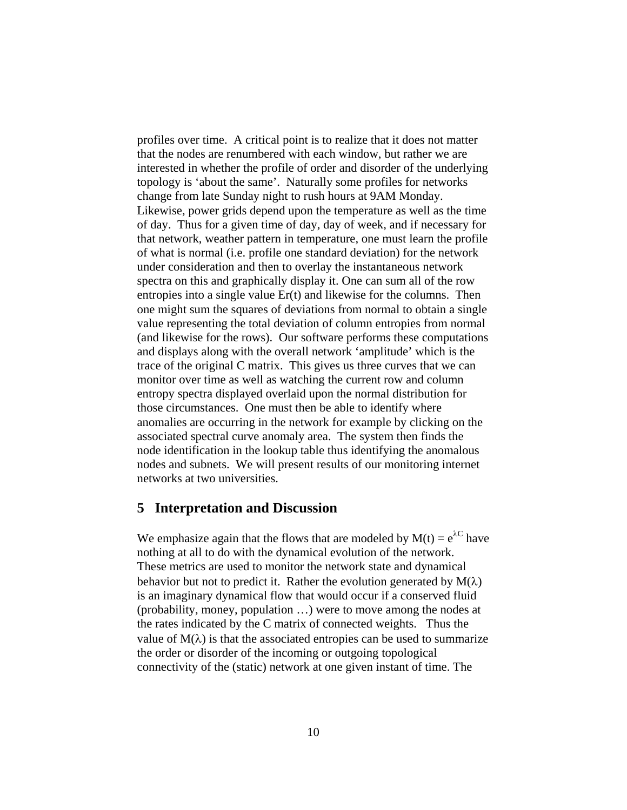profiles over time. A critical point is to realize that it does not matter that the nodes are renumbered with each window, but rather we are interested in whether the profile of order and disorder of the underlying topology is 'about the same'. Naturally some profiles for networks change from late Sunday night to rush hours at 9AM Monday. Likewise, power grids depend upon the temperature as well as the time of day. Thus for a given time of day, day of week, and if necessary for that network, weather pattern in temperature, one must learn the profile of what is normal (i.e. profile one standard deviation) for the network under consideration and then to overlay the instantaneous network spectra on this and graphically display it. One can sum all of the row entropies into a single value Er(t) and likewise for the columns. Then one might sum the squares of deviations from normal to obtain a single value representing the total deviation of column entropies from normal (and likewise for the rows). Our software performs these computations and displays along with the overall network 'amplitude' which is the trace of the original C matrix. This gives us three curves that we can monitor over time as well as watching the current row and column entropy spectra displayed overlaid upon the normal distribution for those circumstances. One must then be able to identify where anomalies are occurring in the network for example by clicking on the associated spectral curve anomaly area. The system then finds the node identification in the lookup table thus identifying the anomalous nodes and subnets. We will present results of our monitoring internet networks at two universities.

#### **5 Interpretation and Discussion**

We emphasize again that the flows that are modeled by  $M(t) = e^{\lambda C}$  have nothing at all to do with the dynamical evolution of the network. These metrics are used to monitor the network state and dynamical behavior but not to predict it. Rather the evolution generated by  $M(\lambda)$ is an imaginary dynamical flow that would occur if a conserved fluid (probability, money, population …) were to move among the nodes at the rates indicated by the C matrix of connected weights. Thus the value of  $M(\lambda)$  is that the associated entropies can be used to summarize the order or disorder of the incoming or outgoing topological connectivity of the (static) network at one given instant of time. The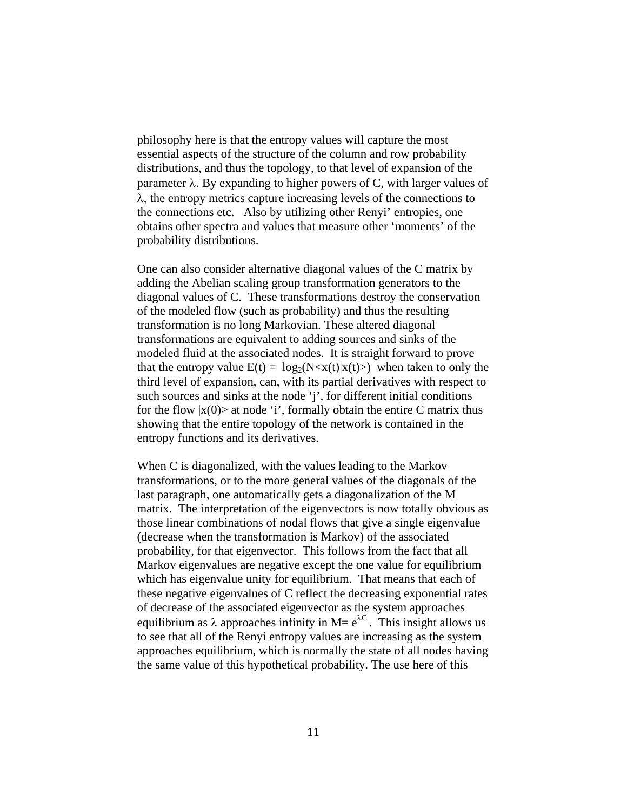philosophy here is that the entropy values will capture the most essential aspects of the structure of the column and row probability distributions, and thus the topology, to that level of expansion of the parameter  $\lambda$ . By expanding to higher powers of C, with larger values of  $\lambda$ , the entropy metrics capture increasing levels of the connections to the connections etc. Also by utilizing other Renyi' entropies, one obtains other spectra and values that measure other 'moments' of the probability distributions.

One can also consider alternative diagonal values of the C matrix by adding the Abelian scaling group transformation generators to the diagonal values of C. These transformations destroy the conservation of the modeled flow (such as probability) and thus the resulting transformation is no long Markovian. These altered diagonal transformations are equivalent to adding sources and sinks of the modeled fluid at the associated nodes. It is straight forward to prove that the entropy value  $E(t) = log_2(N < x(t)|x(t))$  when taken to only the third level of expansion, can, with its partial derivatives with respect to such sources and sinks at the node 'j', for different initial conditions for the flow  $|x(0)\rangle$  at node 'i', formally obtain the entire C matrix thus showing that the entire topology of the network is contained in the entropy functions and its derivatives.

When C is diagonalized, with the values leading to the Markov transformations, or to the more general values of the diagonals of the last paragraph, one automatically gets a diagonalization of the M matrix. The interpretation of the eigenvectors is now totally obvious as those linear combinations of nodal flows that give a single eigenvalue (decrease when the transformation is Markov) of the associated probability, for that eigenvector. This follows from the fact that all Markov eigenvalues are negative except the one value for equilibrium which has eigenvalue unity for equilibrium. That means that each of these negative eigenvalues of C reflect the decreasing exponential rates of decrease of the associated eigenvector as the system approaches equilibrium as  $\lambda$  approaches infinity in M=  $e^{\lambda C}$ . This insight allows us to see that all of the Renyi entropy values are increasing as the system approaches equilibrium, which is normally the state of all nodes having the same value of this hypothetical probability. The use here of this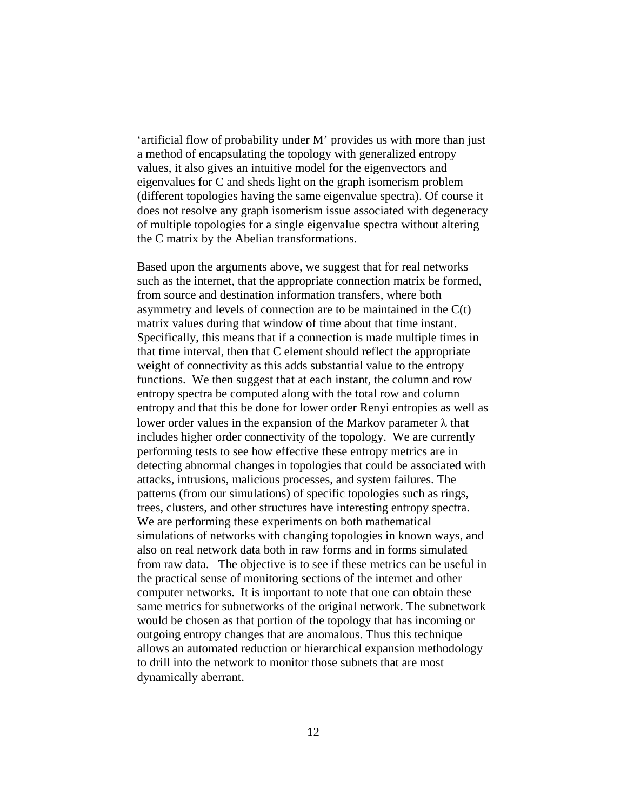'artificial flow of probability under M' provides us with more than just a method of encapsulating the topology with generalized entropy values, it also gives an intuitive model for the eigenvectors and eigenvalues for C and sheds light on the graph isomerism problem (different topologies having the same eigenvalue spectra). Of course it does not resolve any graph isomerism issue associated with degeneracy of multiple topologies for a single eigenvalue spectra without altering the C matrix by the Abelian transformations.

Based upon the arguments above, we suggest that for real networks such as the internet, that the appropriate connection matrix be formed, from source and destination information transfers, where both asymmetry and levels of connection are to be maintained in the C(t) matrix values during that window of time about that time instant. Specifically, this means that if a connection is made multiple times in that time interval, then that C element should reflect the appropriate weight of connectivity as this adds substantial value to the entropy functions. We then suggest that at each instant, the column and row entropy spectra be computed along with the total row and column entropy and that this be done for lower order Renyi entropies as well as lower order values in the expansion of the Markov parameter  $\lambda$  that includes higher order connectivity of the topology. We are currently performing tests to see how effective these entropy metrics are in detecting abnormal changes in topologies that could be associated with attacks, intrusions, malicious processes, and system failures. The patterns (from our simulations) of specific topologies such as rings, trees, clusters, and other structures have interesting entropy spectra. We are performing these experiments on both mathematical simulations of networks with changing topologies in known ways, and also on real network data both in raw forms and in forms simulated from raw data. The objective is to see if these metrics can be useful in the practical sense of monitoring sections of the internet and other computer networks. It is important to note that one can obtain these same metrics for subnetworks of the original network. The subnetwork would be chosen as that portion of the topology that has incoming or outgoing entropy changes that are anomalous. Thus this technique allows an automated reduction or hierarchical expansion methodology to drill into the network to monitor those subnets that are most dynamically aberrant.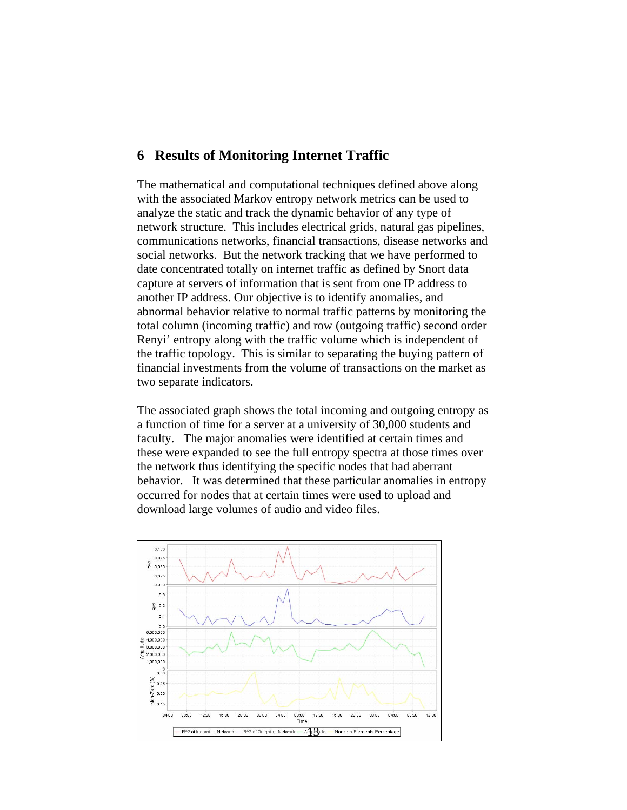# **6 Results of Monitoring Internet Traffic**

The mathematical and computational techniques defined above along with the associated Markov entropy network metrics can be used to analyze the static and track the dynamic behavior of any type of network structure. This includes electrical grids, natural gas pipelines, communications networks, financial transactions, disease networks and social networks. But the network tracking that we have performed to date concentrated totally on internet traffic as defined by Snort data capture at servers of information that is sent from one IP address to another IP address. Our objective is to identify anomalies, and abnormal behavior relative to normal traffic patterns by monitoring the total column (incoming traffic) and row (outgoing traffic) second order Renyi' entropy along with the traffic volume which is independent of the traffic topology. This is similar to separating the buying pattern of financial investments from the volume of transactions on the market as two separate indicators.

The associated graph shows the total incoming and outgoing entropy as a function of time for a server at a university of 30,000 students and faculty. The major anomalies were identified at certain times and these were expanded to see the full entropy spectra at those times over the network thus identifying the specific nodes that had aberrant behavior. It was determined that these particular anomalies in entropy occurred for nodes that at certain times were used to upload and download large volumes of audio and video files.

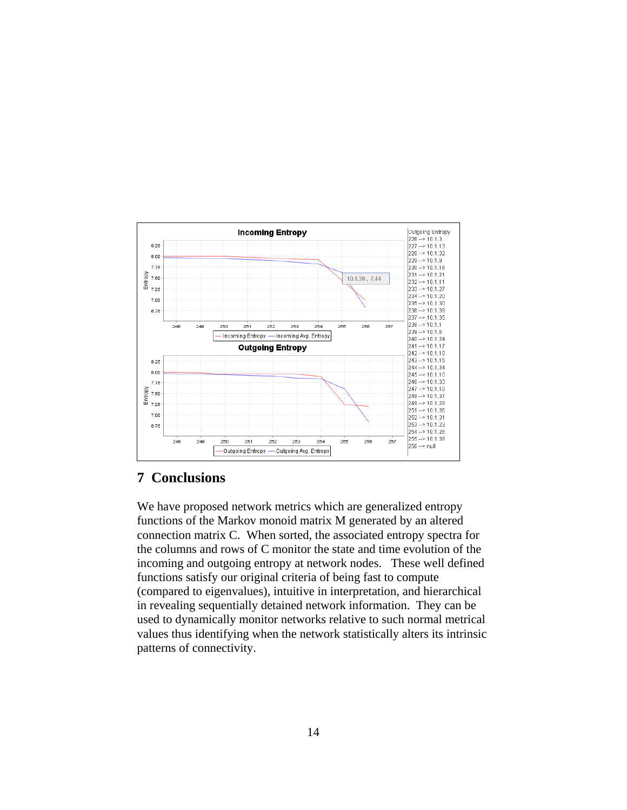

# **7 Conclusions**

We have proposed network metrics which are generalized entropy functions of the Markov monoid matrix M generated by an altered connection matrix C. When sorted, the associated entropy spectra for the columns and rows of C monitor the state and time evolution of the incoming and outgoing entropy at network nodes. These well defined functions satisfy our original criteria of being fast to compute (compared to eigenvalues), intuitive in interpretation, and hierarchical in revealing sequentially detained network information. They can be used to dynamically monitor networks relative to such normal metrical values thus identifying when the network statistically alters its intrinsic patterns of connectivity.